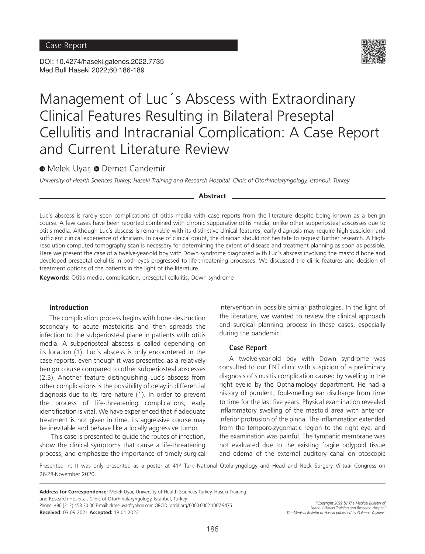DOI: 10.4274/haseki.galenos.2022.7735 Med Bull Haseki 2022;60:186-189



# Management of Luc´s Abscess with Extraordinary Clinical Features Resulting in Bilateral Preseptal Cellulitis and Intracranial Complication: A Case Report and Current Literature Review

# **MelekUyar, @ Demet Candemir**

*University of Health Sciences Turkey, Haseki Training and Research Hospital, Clinic of Otorhinolaryngology, Istanbul, Turkey*

#### **Abstract**

Luc's abscess is rarely seen complications of otitis media with case reports from the literature despite being known as a benign course. A few cases have been reported combined with chronic suppurative otitis media, unlike other subperiosteal abscesses due to otitis media. Although Luc's abscess is remarkable with its distinctive clinical features, early diagnosis may require high suspicion and sufficient clinical experience of clinicians. In case of clinical doubt, the clinician should not hesitate to request further research. A Highresolution computed tomography scan is necessary for determining the extent of disease and treatment planning as soon as possible. Here we present the case of a twelve-year-old boy with Down syndrome diagnosed with Luc's abscess involving the mastoid bone and developed preseptal cellulitis in both eyes progressed to life-threatening processes. We discussed the clinic features and decision of treatment options of the patients in the light of the literature.

**Keywords:** Otitis media, complication, preseptal cellulitis, Down syndrome

#### **Introduction**

The complication process begins with bone destruction secondary to acute mastoiditis and then spreads the infection to the subperiosteal plane in patients with otitis media. A subperiosteal abscess is called depending on its location (1). Luc's abscess is only encountered in the case reports, even though it was presented as a relatively benign course compared to other subperiosteal abscesses (2,3). Another feature distinguishing Luc's abscess from other complications is the possibility of delay in differential diagnosis due to its rare nature (1). In order to prevent the process of life-threatening complications, early identification is vital. We have experienced that if adequate treatment is not given in time, its aggressive course may be inevitable and behave like a locally aggressive tumor.

This case is presented to guide the routes of infection, show the clinical symptoms that cause a life-threatening process, and emphasize the importance of timely surgical

intervention in possible similar pathologies. In the light of the literature, we wanted to review the clinical approach and surgical planning process in these cases, especially during the pandemic.

#### **Case Report**

A twelve-year-old boy with Down syndrome was consulted to our ENT clinic with suspicion of a preliminary diagnosis of sinusitis complication caused by swelling in the right eyelid by the Opthalmology department. He had a history of purulent, foul-smelling ear discharge from time to time for the last five years. Physical examination revealed inflammatory swelling of the mastoid area with anteriorinferior protrusion of the pinna. The inflammation extended from the temporo-zygomatic region to the right eye, and the examination was painful. The tympanic membrane was not evaluated due to the existing fragile polypoid tissue and edema of the external auditory canal on otoscopic

Presented in: It was only presented as a poster at 41<sup>st</sup> Turk National Otolaryngology and Head and Neck Surgery Virtual Congress on 26-28-November 2020.

**Address for Correspondence:** Melek Uyar, University of Health Sciences Turkey, Haseki Training and Research Hospital, Clinic of Otorhinolaryngology, Istanbul, Turkey Phone: +90 (212) 453 20 00 E-mail: drmeluyar@yahoo.com ORCID: orcid.org/0000-0002-1007-9475 **Received:** 03.09.2021 **Accepted:** 18.01.2022

*©Copyright 2022 by The Medical Bulletin of Istanbul Haseki Training and Research Hospital The Medical Bulletin of Haseki published by Galenos Yayinevi.*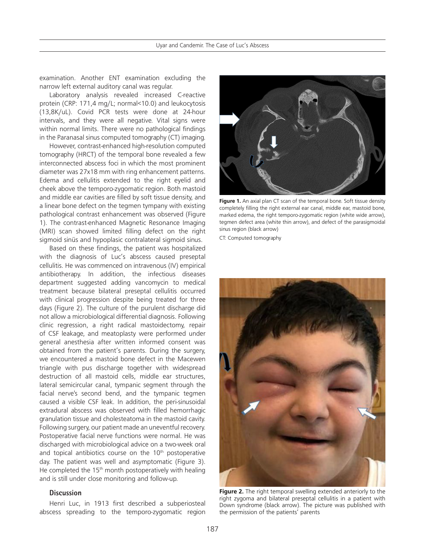examination. Another ENT examination excluding the narrow left external auditory canal was regular.

Laboratory analysis revealed increased C-reactive protein (CRP: 171,4 mg/L; normal<10.0) and leukocytosis (13,8K/uL). Covid PCR tests were done at 24-hour intervals, and they were all negative. Vital signs were within normal limits. There were no pathological findings in the Paranasal sinus computed tomography (CT) imaging.

However, contrast-enhanced high-resolution computed tomography (HRCT) of the temporal bone revealed a few interconnected abscess foci in which the most prominent diameter was 27x18 mm with ring enhancement patterns. Edema and cellulitis extended to the right eyelid and cheek above the temporo-zygomatic region. Both mastoid and middle ear cavities are filled by soft tissue density, and a linear bone defect on the tegmen tympany with existing pathological contrast enhancement was observed (Figure 1). The contrast-enhanced Magnetic Resonance Imaging (MRI) scan showed limited filling defect on the right sigmoid sinüs and hypoplasic contralateral sigmoid sinus.

Based on these findings, the patient was hospitalized with the diagnosis of Luc's abscess caused preseptal cellulitis. He was commenced on intravenous (IV) empirical antibiotherapy. In addition, the infectious diseases department suggested adding vancomycin to medical treatment because bilateral preseptal cellulitis occurred with clinical progression despite being treated for three days (Figure 2). The culture of the purulent discharge did not allow a microbiological differential diagnosis. Following clinic regression, a right radical mastoidectomy, repair of CSF leakage, and meatoplasty were performed under general anesthesia after written informed consent was obtained from the patient's parents. During the surgery, we encountered a mastoid bone defect in the Macewen triangle with pus discharge together with widespread destruction of all mastoid cells, middle ear structures, lateral semicircular canal, tympanic segment through the facial nerve's second bend, and the tympanic tegmen caused a visible CSF leak. In addition, the peri-sinusoidal extradural abscess was observed with filled hemorrhagic granulation tissue and cholesteatoma in the mastoid cavity. Following surgery, our patient made an uneventful recovery. Postoperative facial nerve functions were normal. He was discharged with microbiological advice on a two-week oral and topical antibiotics course on the 10<sup>th</sup> postoperative day. The patient was well and asymptomatic (Figure 3). He completed the 15<sup>th</sup> month postoperatively with healing and is still under close monitoring and follow-up.

## **Discussion**

Henri Luc, in 1913 first described a subperiosteal abscess spreading to the temporo-zygomatic region



Figure 1. An axial plan CT scan of the temporal bone. Soft tissue density completely filling the right external ear canal, middle ear, mastoid bone, marked edema, the right temporo-zygomatic region (white wide arrow), tegmen defect area (white thin arrow), and defect of the parasigmoidal sinus region (black arrow)

CT: Computed tomography



**Figure 2.** The right temporal swelling extended anteriorly to the right zygoma and bilateral preseptal cellulitis in a patient with Down syndrome (black arrow). The picture was published with the permission of the patients' parents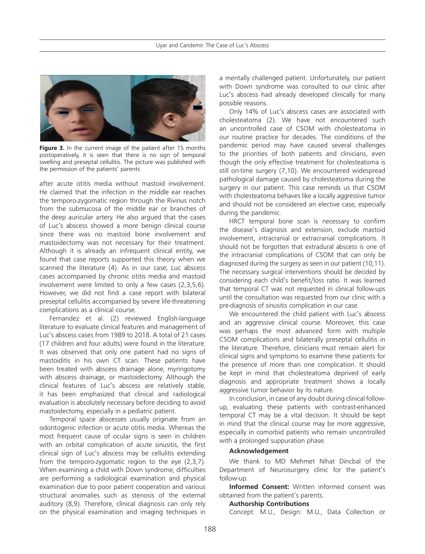

**Figure 3.** In the current image of the patient after 15 months postoperatively, it is seen that there is no sign of temporal swelling and preseptal cellulitis. The picture was published with the permission of the patients' parents

after acute otitis media without mastoid involvement. He claimed that the infection in the middle ear reaches the temporo-zygomatic region through the Rivinus notch from the submucosa of the middle ear or branches of the deep auricular artery. He also argued that the cases of Luc's abscess showed a more benign clinical course since there was no mastoid bone involvement and mastoidectomy was not necessary for their treatment. Although it is already an infrequent clinical entity, we found that case reports supported this theory when we scanned the literature (4). As in our case, Luc abscess cases accompanied by chronic otitis media and mastoid involvement were limited to only a few cases (2,3,5,6). However, we did not find a case report with bilateral preseptal cellulitis accompanied by severe life-threatening complications as a clinical course.

Fernandez et al. (2) reviewed English-language literature to evaluate clinical features and management of Luc's abscess cases from 1989 to 2018. A total of 21 cases (17 children and four adults) were found in the literature. It was observed that only one patient had no signs of mastoiditis in his own CT scan. These patients have been treated with abscess drainage alone, myringotomy with abscess drainage, or mastoidectomy. Although the clinical features of Luc's abscess are relatively stable, it has been emphasized that clinical and radiological evaluation is absolutely necessary before deciding to avoid mastoidectomy, especially in a pediatric patient.

Temporal space abscesses usually originate from an odontogenic infection or acute otitis media. Whereas the most frequent cause of ocular signs is seen in children with an orbital complication of acute sinusitis, the first clinical sign of Luc's abscess may be cellulitis extending from the temporo-zygomatic region to the eye (2,3,7). When examining a child with Down syndrome, difficulties are performing a radiological examination and physical examination due to poor patient cooperation and various structural anomalies such as stenosis of the external auditory (8,9). Therefore, clinical diagnosis can only rely on the physical examination and imaging techniques in

a mentally challenged patient. Unfortunately, our patient with Down syndrome was consulted to our clinic after Luc's abscess had already developed clinically for many possible reasons.

Only 14% of Luc's abscess cases are associated with cholesteatoma (2). We have not encountered such an uncontrolled case of CSOM with cholesteatoma in our routine practice for decades. The conditions of the pandemic period may have caused several challenges to the priorities of both patients and clinicians, even though the only effective treatment for cholesteatoma is still on-time surgery (7,10). We encountered widespread pathological damage caused by cholesteatoma during the surgery in our patient. This case reminds us that CSOM with cholesteatoma behaves like a locally aggressive tumor and should not be considered an elective case, especially during the pandemic.

HRCT temporal bone scan is necessary to confirm the disease's diagnosis and extension, exclude mastoid involvement, intracranial or extracranial complications. It should not be forgotten that extradural abscess is one of the intracranial complications of CSOM that can only be diagnosed during the surgery as seen in our patient (10,11). The necessary surgical interventions should be decided by considering each child's benefit/loss ratio. It was learned that temporal CT was not requested in clinical follow-ups until the consultation was requested from our clinic with a pre-diagnosis of sinusitis complication in our case.

We encountered the child patient with Luc's abscess and an aggressive clinical course. Moreover, this case was perhaps the most advanced form with multiple CSOM complications and bilaterally preseptal cellulitis in the literature. Therefore, clinicians must remain alert for clinical signs and symptoms to examine these patients for the presence of more than one complication. It should be kept in mind that cholesteatoma deprived of early diagnosis and appropriate treatment shows a locally aggressive tumor behavior by its nature.

In conclusion, in case of any doubt during clinical followup, evaluating these patients with contrast-enhanced temporal CT may be a vital decision. It should be kept in mind that the clinical course may be more aggressive, especially in comorbid patients who remain uncontrolled with a prolonged suppuration phase.

## **Acknowledgement**

We thank to MD Mehmet Nihat Dincbal of the Department of Neurosurgery clinic for the patient's follow-up.

**Informed Consent:** Written informed consent was obtained from the patient's parents.

#### **Authorship Contributions**

Concept: M.U., Design: M.U., Data Collection or